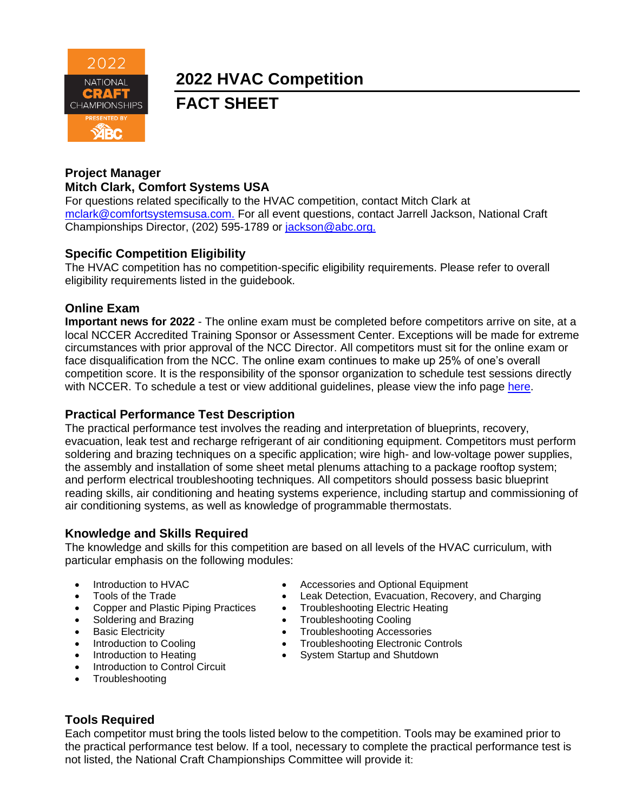

**2022 HVAC Competition** 

**FACT SHEET**

### **Project Manager Mitch Clark, Comfort Systems USA**

For questions related specifically to the HVAC competition, contact Mitch Clark at [mclark@comfortsystemsusa.com.](mailto:mclark@comfortsystemsusa.com) For all event questions, contact Jarrell Jackson, National Craft Championships Director, (202) 595-1789 or [jackson@abc.org.](mailto:jackson@abc.org.)

### **Specific Competition Eligibility**

The HVAC competition has no competition-specific eligibility requirements. Please refer to overall eligibility requirements listed in the guidebook.

### **Online Exam**

**Important news for 2022** - The online exam must be completed before competitors arrive on site, at a local NCCER Accredited Training Sponsor or Assessment Center. Exceptions will be made for extreme circumstances with prior approval of the NCC Director. All competitors must sit for the online exam or face disqualification from the NCC. The online exam continues to make up 25% of one's overall competition score. It is the responsibility of the sponsor organization to schedule test sessions directly with NCCER. To schedule a test or view additional quidelines, please view the info page [here.](https://abc.org/Portals/1/NCC/National%20Craft%20Championship%20Testing%20Overview%20and%20Registration.pdf?ver=2022-01-31-154655-600)

### **Practical Performance Test Description**

The practical performance test involves the reading and interpretation of blueprints, recovery, evacuation, leak test and recharge refrigerant of air conditioning equipment. Competitors must perform soldering and brazing techniques on a specific application; wire high- and low-voltage power supplies, the assembly and installation of some sheet metal plenums attaching to a package rooftop system; and perform electrical troubleshooting techniques. All competitors should possess basic blueprint reading skills, air conditioning and heating systems experience, including startup and commissioning of air conditioning systems, as well as knowledge of programmable thermostats.

## **Knowledge and Skills Required**

The knowledge and skills for this competition are based on all levels of the HVAC curriculum, with particular emphasis on the following modules:

- 
- 
- 
- 
- 
- 
- 
- Introduction to Control Circuit
- **Troubleshooting**
- Introduction to HVAC Accessories and Optional Equipment
	- Tools of the Trade Leak Detection, Evacuation, Recovery, and Charging
	- Copper and Plastic Piping Practices Troubleshooting Electric Heating
- Soldering and Brazing **•** Troubleshooting Cooling
- Basic Electricity  **Troubleshooting Accessories**<br>• Introduction to Cooling  **Troubleshooting Electronic Co** 
	- Troubleshooting Electronic Controls
	- Introduction to Heating **•** System Startup and Shutdown
- **Tools Required**

Each competitor must bring the tools listed below to the competition. Tools may be examined prior to the practical performance test below. If a tool, necessary to complete the practical performance test is not listed, the National Craft Championships Committee will provide it: